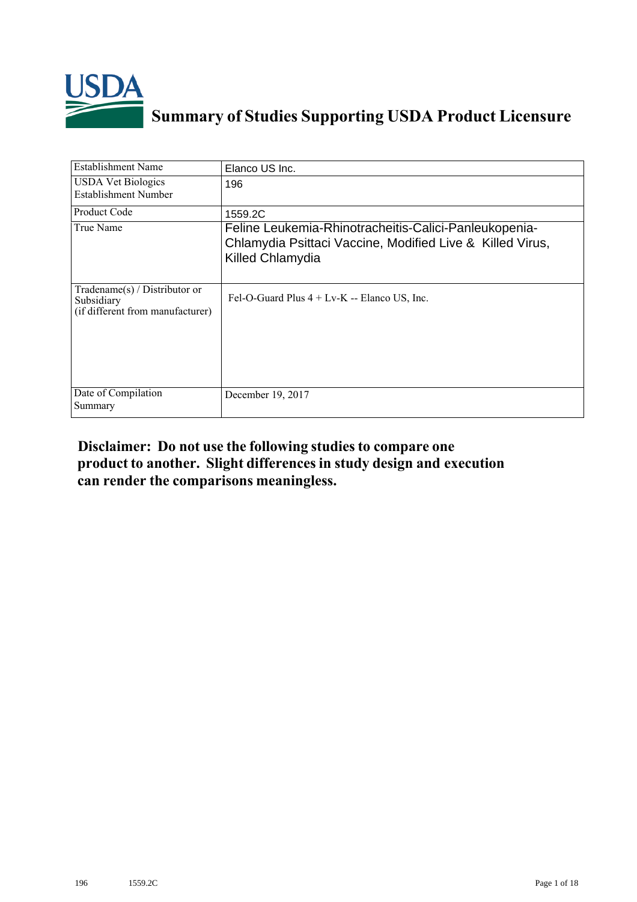

# **Summary of Studies Supporting USDA Product Licensure**

| <b>Establishment Name</b>                                                         | Elanco US Inc.                                                                                                                         |
|-----------------------------------------------------------------------------------|----------------------------------------------------------------------------------------------------------------------------------------|
| <b>USDA Vet Biologics</b><br><b>Establishment Number</b>                          | 196                                                                                                                                    |
| <b>Product Code</b>                                                               | 1559.2C                                                                                                                                |
| True Name                                                                         | Feline Leukemia-Rhinotracheitis-Calici-Panleukopenia-<br>Chlamydia Psittaci Vaccine, Modified Live & Killed Virus,<br>Killed Chlamydia |
| $Tradename(s) / Distributor$ or<br>Subsidiary<br>(if different from manufacturer) | Fel-O-Guard Plus $4 + Lv-K$ -- Elanco US, Inc.                                                                                         |
| Date of Compilation<br>Summary                                                    | December 19, 2017                                                                                                                      |

# **Disclaimer: Do not use the following studiesto compare one product to another. Slight differencesin study design and execution can render the comparisons meaningless.**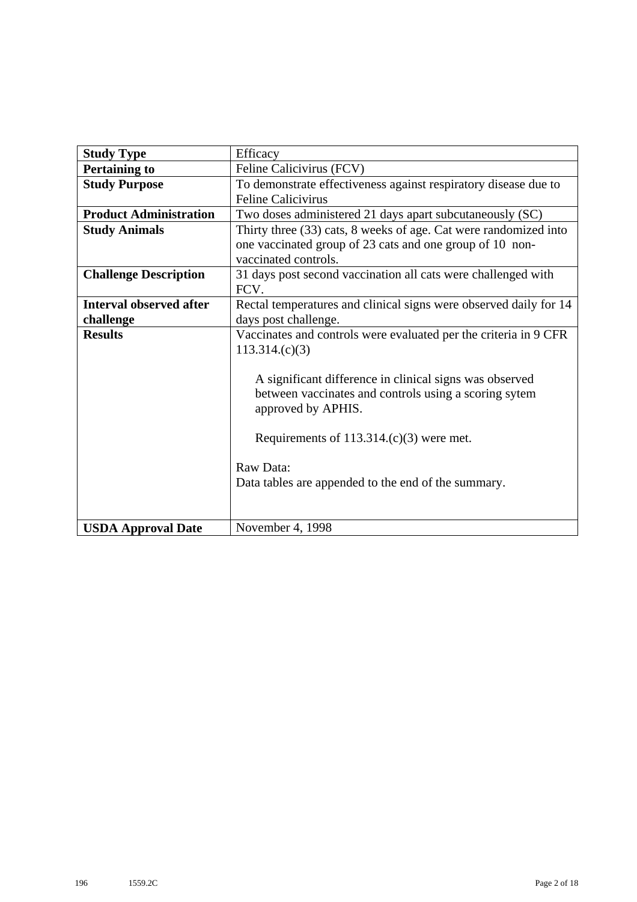| <b>Study Type</b>             | Efficacy                                                              |
|-------------------------------|-----------------------------------------------------------------------|
| <b>Pertaining to</b>          | Feline Calicivirus (FCV)                                              |
| <b>Study Purpose</b>          | To demonstrate effectiveness against respiratory disease due to       |
|                               | <b>Feline Calicivirus</b>                                             |
| <b>Product Administration</b> | Two doses administered 21 days apart subcutaneously (SC)              |
| <b>Study Animals</b>          | Thirty three (33) cats, 8 weeks of age. Cat were randomized into      |
|                               | one vaccinated group of 23 cats and one group of 10 non-              |
|                               | vaccinated controls.                                                  |
| <b>Challenge Description</b>  | 31 days post second vaccination all cats were challenged with<br>FCV. |
| Interval observed after       | Rectal temperatures and clinical signs were observed daily for 14     |
| challenge                     | days post challenge.                                                  |
| <b>Results</b>                | Vaccinates and controls were evaluated per the criteria in 9 CFR      |
|                               | 113.314(c)(3)                                                         |
|                               |                                                                       |
|                               | A significant difference in clinical signs was observed               |
|                               | between vaccinates and controls using a scoring sytem                 |
|                               | approved by APHIS.                                                    |
|                               |                                                                       |
|                               | Requirements of $113.314(c)(3)$ were met.                             |
|                               |                                                                       |
|                               | Raw Data:                                                             |
|                               | Data tables are appended to the end of the summary.                   |
|                               |                                                                       |
|                               |                                                                       |
| <b>USDA Approval Date</b>     | November 4, 1998                                                      |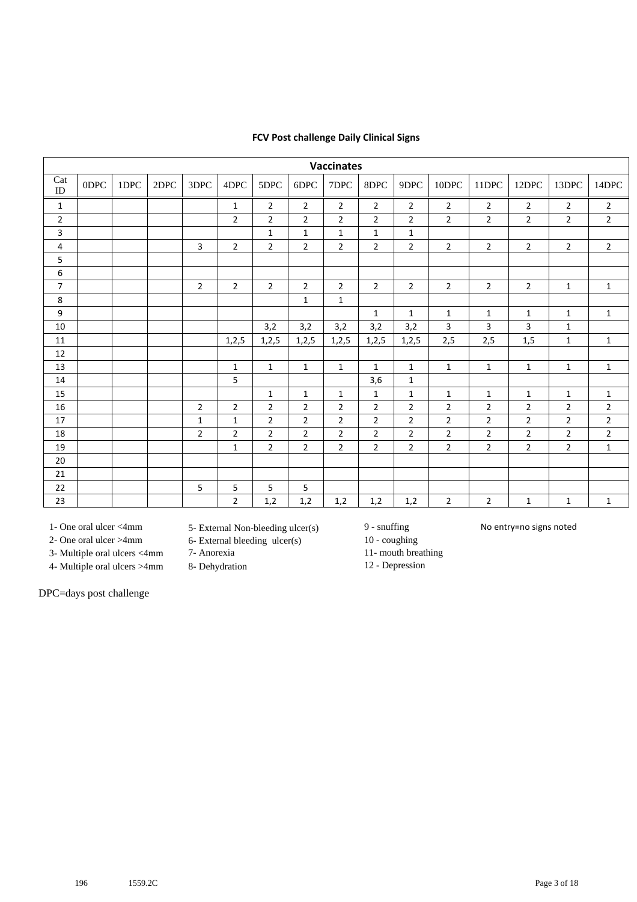### **FCV Post challenge Daily Clinical Signs**

| <b>Vaccinates</b> |      |      |      |                |                |                |                |                |                |                |                |                |                |                |                |
|-------------------|------|------|------|----------------|----------------|----------------|----------------|----------------|----------------|----------------|----------------|----------------|----------------|----------------|----------------|
| Cat<br>ID         | 0DPC | 1DPC | 2DPC | 3DPC           | 4DPC           | 5DPC           | 6DPC           | 7DPC           | 8DPC           | 9DPC           | 10DPC          | 11DPC          | 12DPC          | 13DPC          | 14DPC          |
| $\mathbf{1}$      |      |      |      |                | $\mathbf{1}$   | $\overline{2}$ | $\overline{2}$ | $\overline{2}$ | $\overline{2}$ | $\overline{2}$ | $\overline{2}$ | $\overline{2}$ | $\overline{2}$ | $\overline{2}$ | $\overline{2}$ |
| $\overline{2}$    |      |      |      |                | $\overline{2}$ | $\overline{2}$ | $\overline{2}$ | $\overline{2}$ | $\overline{2}$ | $\overline{2}$ | $\overline{2}$ | $\overline{2}$ | $\overline{2}$ | $\overline{2}$ | $\overline{2}$ |
| 3                 |      |      |      |                |                | $\mathbf{1}$   | $\mathbf{1}$   | $\mathbf{1}$   | $\mathbf{1}$   | $\mathbf{1}$   |                |                |                |                |                |
| 4                 |      |      |      | 3              | $\overline{2}$ | $\overline{2}$ | $\overline{2}$ | $\overline{2}$ | $\overline{2}$ | $\overline{2}$ | $\overline{2}$ | $\overline{2}$ | $\overline{2}$ | $\overline{2}$ | $\overline{2}$ |
| 5                 |      |      |      |                |                |                |                |                |                |                |                |                |                |                |                |
| 6                 |      |      |      |                |                |                |                |                |                |                |                |                |                |                |                |
| $\overline{7}$    |      |      |      | $\overline{2}$ | $\overline{2}$ | $\overline{2}$ | $\overline{2}$ | $\overline{2}$ | $\overline{2}$ | $\overline{2}$ | $\overline{2}$ | $\overline{2}$ | $\overline{2}$ | $\mathbf{1}$   | $\mathbf{1}$   |
| 8                 |      |      |      |                |                |                | $\mathbf 1$    | $\mathbf{1}$   |                |                |                |                |                |                |                |
| 9                 |      |      |      |                |                |                |                |                | $\mathbf{1}$   | $\mathbf{1}$   | $\mathbf{1}$   | $\mathbf{1}$   | $\mathbf{1}$   | $\mathbf{1}$   | $\mathbf{1}$   |
| 10                |      |      |      |                |                | 3,2            | 3,2            | 3,2            | 3,2            | 3,2            | 3              | 3              | 3              | $\mathbf{1}$   |                |
| 11                |      |      |      |                | 1,2,5          | 1,2,5          | 1,2,5          | 1,2,5          | 1, 2, 5        | 1,2,5          | 2,5            | 2,5            | 1,5            | $\mathbf{1}$   | $\mathbf{1}$   |
| 12                |      |      |      |                |                |                |                |                |                |                |                |                |                |                |                |
| 13                |      |      |      |                | $\mathbf{1}$   | $\mathbf{1}$   | $\mathbf{1}$   | $\mathbf{1}$   | $\mathbf{1}$   | $\mathbf{1}$   | $\mathbf{1}$   | $\mathbf{1}$   | $\mathbf{1}$   | $\mathbf{1}$   | $\mathbf{1}$   |
| 14                |      |      |      |                | $\overline{5}$ |                |                |                | 3,6            | $\mathbf{1}$   |                |                |                |                |                |
| 15                |      |      |      |                |                | $\mathbf{1}$   | $\mathbf{1}$   | $\mathbf{1}$   | $\mathbf{1}$   | $\mathbf{1}$   | $\mathbf{1}$   | $\mathbf{1}$   | $\mathbf{1}$   | $\mathbf{1}$   | $\mathbf{1}$   |
| 16                |      |      |      | $\overline{2}$ | $\overline{2}$ | $\overline{2}$ | 2              | $\overline{2}$ | $\overline{2}$ | $\overline{2}$ | $\overline{2}$ | $\overline{2}$ | 2              | $\overline{2}$ | $\overline{2}$ |
| 17                |      |      |      | $\mathbf 1$    | $\mathbf{1}$   | $\overline{2}$ | $\overline{2}$ | 2              | $\overline{2}$ | $\overline{2}$ | $\overline{2}$ | $\overline{2}$ | $\overline{2}$ | $\overline{2}$ | $\overline{2}$ |
| 18                |      |      |      | $\overline{2}$ | $\overline{2}$ | $\overline{2}$ | $\overline{2}$ | $\overline{2}$ | $\overline{2}$ | $\overline{2}$ | $\overline{2}$ | $\overline{2}$ | $\overline{2}$ | $\overline{2}$ | $\overline{2}$ |
| 19                |      |      |      |                | $\mathbf{1}$   | $\overline{2}$ | $\overline{2}$ | $\overline{2}$ | $\overline{2}$ | $\overline{2}$ | $\overline{2}$ | $\overline{2}$ | $\overline{2}$ | $\overline{2}$ | $\mathbf{1}$   |
| 20                |      |      |      |                |                |                |                |                |                |                |                |                |                |                |                |
| 21                |      |      |      |                |                |                |                |                |                |                |                |                |                |                |                |
| 22                |      |      |      | 5              | 5              | 5              | 5              |                |                |                |                |                |                |                |                |
| 23                |      |      |      |                | $\overline{2}$ | 1,2            | 1,2            | 1,2            | 1,2            | 1,2            | $\overline{2}$ | $\overline{2}$ | $\mathbf{1}$   | $\mathbf{1}$   | $\mathbf{1}$   |

3- Multiple oral ulcers <4mm 7- Anorexia 11- mouth breathing

4- Multiple oral ulcers >4mm 8- Dehydration 12 - Depression

DPC=days post challenge

1- One oral ulcer <4mm 5- External Non-bleeding ulcer(s) 9 - snuffing No entry=no signs noted<br>2- One oral ulcer >4mm 6- External bleeding ulcer(s) 10 - coughing

 $6-$  External bleeding ulcer(s)  $10 - \text{coupling}$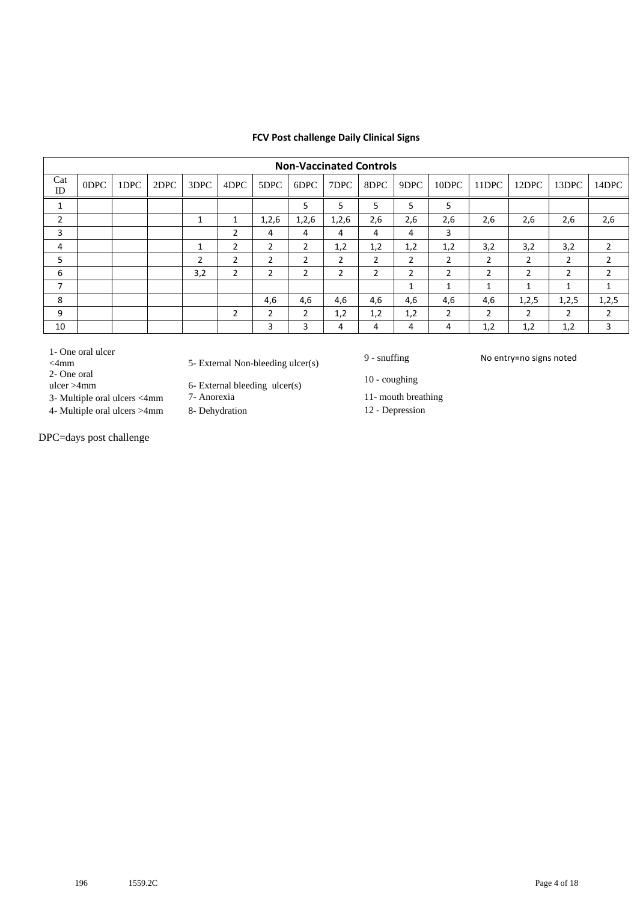### **FCV Post challenge Daily Clinical Signs**

|              | <b>Non-Vaccinated Controls</b> |      |      |      |                |                |       |                |                |              |                |                |                |                |                |
|--------------|--------------------------------|------|------|------|----------------|----------------|-------|----------------|----------------|--------------|----------------|----------------|----------------|----------------|----------------|
| Cat<br>ID    | 0DPC                           | 1DPC | 2DPC | 3DPC | 4DPC           | 5DPC           | 6DPC  | 7DPC           | 8DPC           | 9DPC         | 10DPC          | 11DPC          | 12DPC          | 13DPC          | 14DPC          |
| $\mathbf{1}$ |                                |      |      |      |                |                | 5     | 5              | 5              | 5            | 5              |                |                |                |                |
| 2            |                                |      |      | и    | 1              | 1,2,6          | 1,2,6 | 1,2,6          | 2,6            | 2,6          | 2,6            | 2,6            | 2,6            | 2,6            | 2,6            |
| 3            |                                |      |      |      | 2              | 4              | 4     | 4              | 4              | 4            | 3              |                |                |                |                |
| 4            |                                |      |      | ◢    | $\overline{2}$ | $\overline{2}$ | 2     | 1,2            | 1,2            | 1,2          | 1,2            | 3,2            | 3,2            | 3,2            | $\overline{2}$ |
| 5            |                                |      |      | 2    | $\overline{2}$ | 2              | 2     | $\overline{2}$ | 2              | 2            | $\overline{2}$ | 2              | 2              | $\overline{2}$ | 2              |
| 6            |                                |      |      | 3,2  | $\overline{2}$ | $\mathfrak{p}$ | 2     | 2              | $\overline{2}$ | 2            | 2              | $\overline{2}$ | $\overline{2}$ | $\overline{2}$ | $\overline{2}$ |
| 7            |                                |      |      |      |                |                |       |                |                | $\mathbf{1}$ | 1              | 1              | 1              | 1              | 1              |
| 8            |                                |      |      |      |                | 4,6            | 4,6   | 4,6            | 4,6            | 4,6          | 4,6            | 4,6            | 1,2,5          | 1,2,5          | 1,2,5          |
| 9            |                                |      |      |      | $\overline{2}$ | $\overline{2}$ | 2     | 1,2            | 1,2            | 1,2          | $\overline{2}$ | $\overline{2}$ | $\overline{2}$ | $\overline{2}$ | 2              |
| 10           |                                |      |      |      |                | 3              | 3     | 4              | 4              | 4            | 4              | 1,2            | 1,2            | 1,2            | 3              |
|              |                                |      |      |      |                |                |       |                |                |              |                |                |                |                |                |

1- One oral ulcer

- 2- One oral
- 
- 3- Multiple oral ulcers <4mm 7- Anorexia 11- mouth breathing
- 4- Multiple oral ulcers >4mm 8- Dehydration 12 Depression

DPC=days post challenge

- 1- One oral ulcer<br>  $\leq$  4mm  $\leq$  5- External Non-bleeding ulcer(s) 9 snuffing No entry=no signs noted
	- 6- External bleeding  $ulcer(s)$  10 coughing
	-
	-

- 
- 
-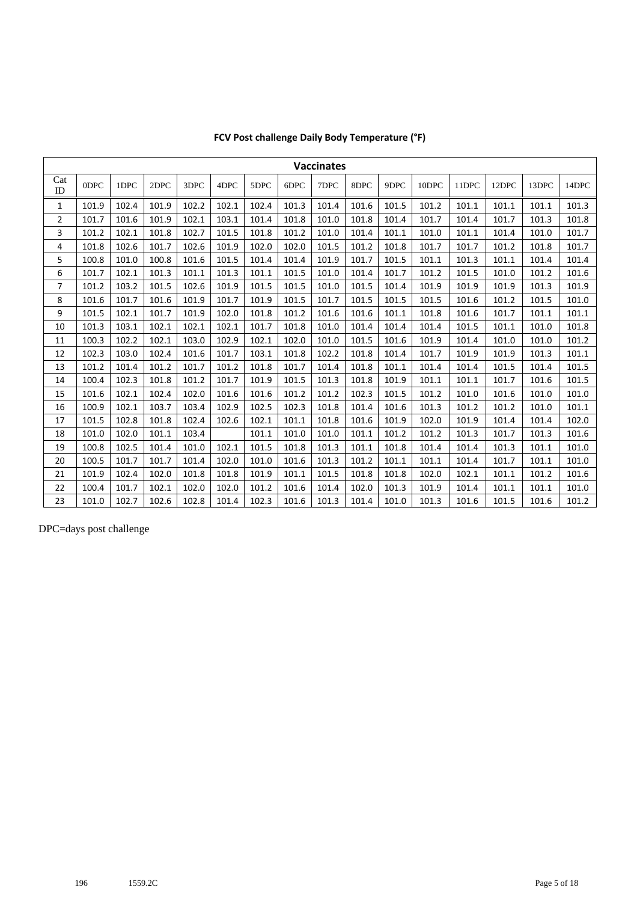| <b>Vaccinates</b> |       |       |       |       |       |       |       |       |       |       |       |       |       |       |       |
|-------------------|-------|-------|-------|-------|-------|-------|-------|-------|-------|-------|-------|-------|-------|-------|-------|
| Cat<br>ID         | ODPC  | 1DPC  | 2DPC  | 3DPC  | 4DPC  | 5DPC  | 6DPC  | 7DPC  | 8DPC  | 9DPC  | 10DPC | 11DPC | 12DPC | 13DPC | 14DPC |
| 1                 | 101.9 | 102.4 | 101.9 | 102.2 | 102.1 | 102.4 | 101.3 | 101.4 | 101.6 | 101.5 | 101.2 | 101.1 | 101.1 | 101.1 | 101.3 |
| $\overline{2}$    | 101.7 | 101.6 | 101.9 | 102.1 | 103.1 | 101.4 | 101.8 | 101.0 | 101.8 | 101.4 | 101.7 | 101.4 | 101.7 | 101.3 | 101.8 |
| 3                 | 101.2 | 102.1 | 101.8 | 102.7 | 101.5 | 101.8 | 101.2 | 101.0 | 101.4 | 101.1 | 101.0 | 101.1 | 101.4 | 101.0 | 101.7 |
| 4                 | 101.8 | 102.6 | 101.7 | 102.6 | 101.9 | 102.0 | 102.0 | 101.5 | 101.2 | 101.8 | 101.7 | 101.7 | 101.2 | 101.8 | 101.7 |
| 5                 | 100.8 | 101.0 | 100.8 | 101.6 | 101.5 | 101.4 | 101.4 | 101.9 | 101.7 | 101.5 | 101.1 | 101.3 | 101.1 | 101.4 | 101.4 |
| 6                 | 101.7 | 102.1 | 101.3 | 101.1 | 101.3 | 101.1 | 101.5 | 101.0 | 101.4 | 101.7 | 101.2 | 101.5 | 101.0 | 101.2 | 101.6 |
| $\overline{7}$    | 101.2 | 103.2 | 101.5 | 102.6 | 101.9 | 101.5 | 101.5 | 101.0 | 101.5 | 101.4 | 101.9 | 101.9 | 101.9 | 101.3 | 101.9 |
| 8                 | 101.6 | 101.7 | 101.6 | 101.9 | 101.7 | 101.9 | 101.5 | 101.7 | 101.5 | 101.5 | 101.5 | 101.6 | 101.2 | 101.5 | 101.0 |
| 9                 | 101.5 | 102.1 | 101.7 | 101.9 | 102.0 | 101.8 | 101.2 | 101.6 | 101.6 | 101.1 | 101.8 | 101.6 | 101.7 | 101.1 | 101.1 |
| 10                | 101.3 | 103.1 | 102.1 | 102.1 | 102.1 | 101.7 | 101.8 | 101.0 | 101.4 | 101.4 | 101.4 | 101.5 | 101.1 | 101.0 | 101.8 |
| 11                | 100.3 | 102.2 | 102.1 | 103.0 | 102.9 | 102.1 | 102.0 | 101.0 | 101.5 | 101.6 | 101.9 | 101.4 | 101.0 | 101.0 | 101.2 |
| 12                | 102.3 | 103.0 | 102.4 | 101.6 | 101.7 | 103.1 | 101.8 | 102.2 | 101.8 | 101.4 | 101.7 | 101.9 | 101.9 | 101.3 | 101.1 |
| 13                | 101.2 | 101.4 | 101.2 | 101.7 | 101.2 | 101.8 | 101.7 | 101.4 | 101.8 | 101.1 | 101.4 | 101.4 | 101.5 | 101.4 | 101.5 |
| 14                | 100.4 | 102.3 | 101.8 | 101.2 | 101.7 | 101.9 | 101.5 | 101.3 | 101.8 | 101.9 | 101.1 | 101.1 | 101.7 | 101.6 | 101.5 |
| 15                | 101.6 | 102.1 | 102.4 | 102.0 | 101.6 | 101.6 | 101.2 | 101.2 | 102.3 | 101.5 | 101.2 | 101.0 | 101.6 | 101.0 | 101.0 |
| 16                | 100.9 | 102.1 | 103.7 | 103.4 | 102.9 | 102.5 | 102.3 | 101.8 | 101.4 | 101.6 | 101.3 | 101.2 | 101.2 | 101.0 | 101.1 |
| 17                | 101.5 | 102.8 | 101.8 | 102.4 | 102.6 | 102.1 | 101.1 | 101.8 | 101.6 | 101.9 | 102.0 | 101.9 | 101.4 | 101.4 | 102.0 |
| 18                | 101.0 | 102.0 | 101.1 | 103.4 |       | 101.1 | 101.0 | 101.0 | 101.1 | 101.2 | 101.2 | 101.3 | 101.7 | 101.3 | 101.6 |
| 19                | 100.8 | 102.5 | 101.4 | 101.0 | 102.1 | 101.5 | 101.8 | 101.3 | 101.1 | 101.8 | 101.4 | 101.4 | 101.3 | 101.1 | 101.0 |
| 20                | 100.5 | 101.7 | 101.7 | 101.4 | 102.0 | 101.0 | 101.6 | 101.3 | 101.2 | 101.1 | 101.1 | 101.4 | 101.7 | 101.1 | 101.0 |
| 21                | 101.9 | 102.4 | 102.0 | 101.8 | 101.8 | 101.9 | 101.1 | 101.5 | 101.8 | 101.8 | 102.0 | 102.1 | 101.1 | 101.2 | 101.6 |
| 22                | 100.4 | 101.7 | 102.1 | 102.0 | 102.0 | 101.2 | 101.6 | 101.4 | 102.0 | 101.3 | 101.9 | 101.4 | 101.1 | 101.1 | 101.0 |
| 23                | 101.0 | 102.7 | 102.6 | 102.8 | 101.4 | 102.3 | 101.6 | 101.3 | 101.4 | 101.0 | 101.3 | 101.6 | 101.5 | 101.6 | 101.2 |

## **FCV Post challenge Daily Body Temperature (°F)**

DPC=days post challenge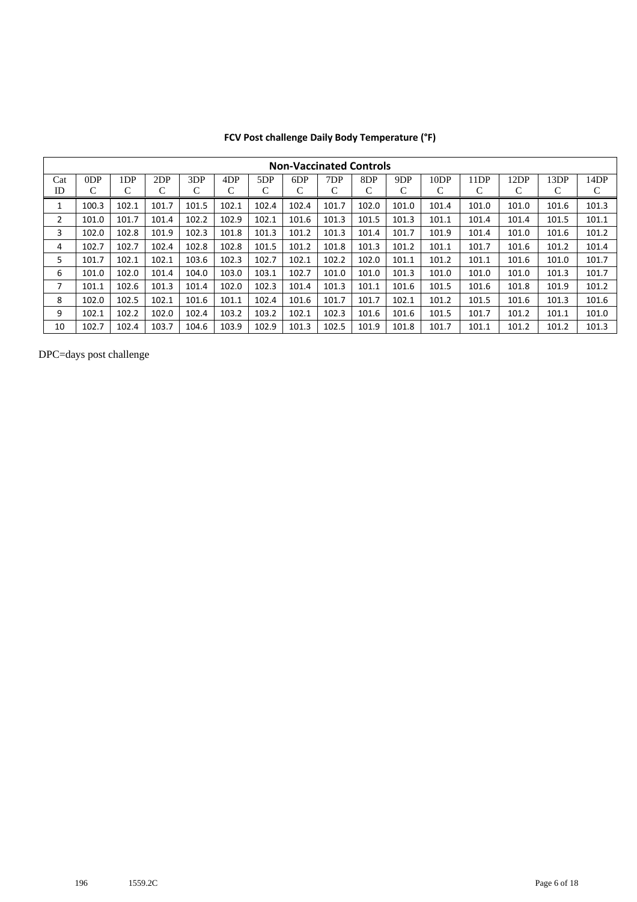|     | <b>Non-Vaccinated Controls</b> |                 |       |       |                 |       |       |       |       |       |                  |       |       |       |       |
|-----|--------------------------------|-----------------|-------|-------|-----------------|-------|-------|-------|-------|-------|------------------|-------|-------|-------|-------|
| Cat | ODP                            | 1 <sub>DP</sub> | 2DP   | 3DP   | 4 <sub>DP</sub> | 5DP   | 6DP   | 7DP   | 8DP   | 9DP   | 10 <sub>DP</sub> | 11DP  | 12DP  | 13DP  | 14DP  |
| ID  | C                              | C               | С     | С     | C               | C     | C     | С     | C     | С     | С                | C     | С     | С     | C     |
|     | 100.3                          | 102.1           | 101.7 | 101.5 | 102.1           | 102.4 | 102.4 | 101.7 | 102.0 | 101.0 | 101.4            | 101.0 | 101.0 | 101.6 | 101.3 |
| 2   | 101.0                          | 101.7           | 101.4 | 102.2 | 102.9           | 102.1 | 101.6 | 101.3 | 101.5 | 101.3 | 101.1            | 101.4 | 101.4 | 101.5 | 101.1 |
| 3   | 102.0                          | 102.8           | 101.9 | 102.3 | 101.8           | 101.3 | 101.2 | 101.3 | 101.4 | 101.7 | 101.9            | 101.4 | 101.0 | 101.6 | 101.2 |
| 4   | 102.7                          | 102.7           | 102.4 | 102.8 | 102.8           | 101.5 | 101.2 | 101.8 | 101.3 | 101.2 | 101.1            | 101.7 | 101.6 | 101.2 | 101.4 |
| 5   | 101.7                          | 102.1           | 102.1 | 103.6 | 102.3           | 102.7 | 102.1 | 102.2 | 102.0 | 101.1 | 101.2            | 101.1 | 101.6 | 101.0 | 101.7 |
| 6   | 101.0                          | 102.0           | 101.4 | 104.0 | 103.0           | 103.1 | 102.7 | 101.0 | 101.0 | 101.3 | 101.0            | 101.0 | 101.0 | 101.3 | 101.7 |
| 7   | 101.1                          | 102.6           | 101.3 | 101.4 | 102.0           | 102.3 | 101.4 | 101.3 | 101.1 | 101.6 | 101.5            | 101.6 | 101.8 | 101.9 | 101.2 |
| 8   | 102.0                          | 102.5           | 102.1 | 101.6 | 101.1           | 102.4 | 101.6 | 101.7 | 101.7 | 102.1 | 101.2            | 101.5 | 101.6 | 101.3 | 101.6 |
| 9   | 102.1                          | 102.2           | 102.0 | 102.4 | 103.2           | 103.2 | 102.1 | 102.3 | 101.6 | 101.6 | 101.5            | 101.7 | 101.2 | 101.1 | 101.0 |
| 10  | 102.7                          | 102.4           | 103.7 | 104.6 | 103.9           | 102.9 | 101.3 | 102.5 | 101.9 | 101.8 | 101.7            | 101.1 | 101.2 | 101.2 | 101.3 |

### **FCV Post challenge Daily Body Temperature (°F)**

DPC=days post challenge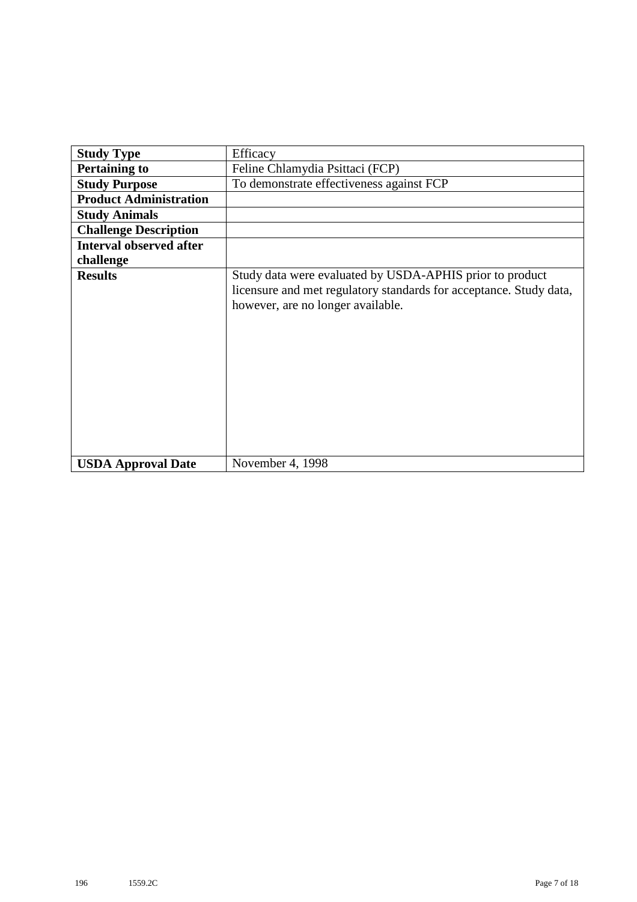| <b>Study Type</b>              | Efficacy                                                                                                                                                            |
|--------------------------------|---------------------------------------------------------------------------------------------------------------------------------------------------------------------|
| <b>Pertaining to</b>           | Feline Chlamydia Psittaci (FCP)                                                                                                                                     |
| <b>Study Purpose</b>           | To demonstrate effectiveness against FCP                                                                                                                            |
| <b>Product Administration</b>  |                                                                                                                                                                     |
| <b>Study Animals</b>           |                                                                                                                                                                     |
| <b>Challenge Description</b>   |                                                                                                                                                                     |
| <b>Interval observed after</b> |                                                                                                                                                                     |
| challenge                      |                                                                                                                                                                     |
| <b>Results</b>                 | Study data were evaluated by USDA-APHIS prior to product<br>licensure and met regulatory standards for acceptance. Study data,<br>however, are no longer available. |
| <b>USDA Approval Date</b>      | November 4, 1998                                                                                                                                                    |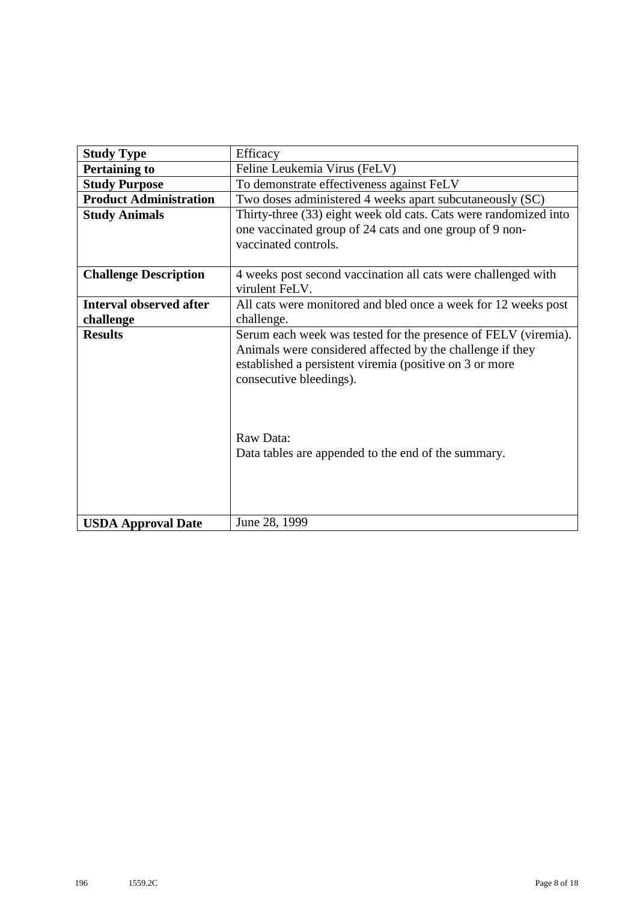| <b>Study Type</b>              | Efficacy                                                         |
|--------------------------------|------------------------------------------------------------------|
| <b>Pertaining to</b>           | Feline Leukemia Virus (FeLV)                                     |
| <b>Study Purpose</b>           | To demonstrate effectiveness against FeLV                        |
| <b>Product Administration</b>  | Two doses administered 4 weeks apart subcutaneously (SC)         |
| <b>Study Animals</b>           | Thirty-three (33) eight week old cats. Cats were randomized into |
|                                | one vaccinated group of 24 cats and one group of 9 non-          |
|                                | vaccinated controls.                                             |
|                                |                                                                  |
| <b>Challenge Description</b>   | 4 weeks post second vaccination all cats were challenged with    |
|                                | virulent FeLV.                                                   |
| <b>Interval observed after</b> | All cats were monitored and bled once a week for 12 weeks post   |
| challenge                      | challenge.                                                       |
| <b>Results</b>                 | Serum each week was tested for the presence of FELV (viremia).   |
|                                | Animals were considered affected by the challenge if they        |
|                                | established a persistent viremia (positive on 3 or more          |
|                                | consecutive bleedings).                                          |
|                                |                                                                  |
|                                |                                                                  |
|                                |                                                                  |
|                                | Raw Data:                                                        |
|                                | Data tables are appended to the end of the summary.              |
|                                |                                                                  |
|                                |                                                                  |
|                                |                                                                  |
| <b>USDA Approval Date</b>      | June 28, 1999                                                    |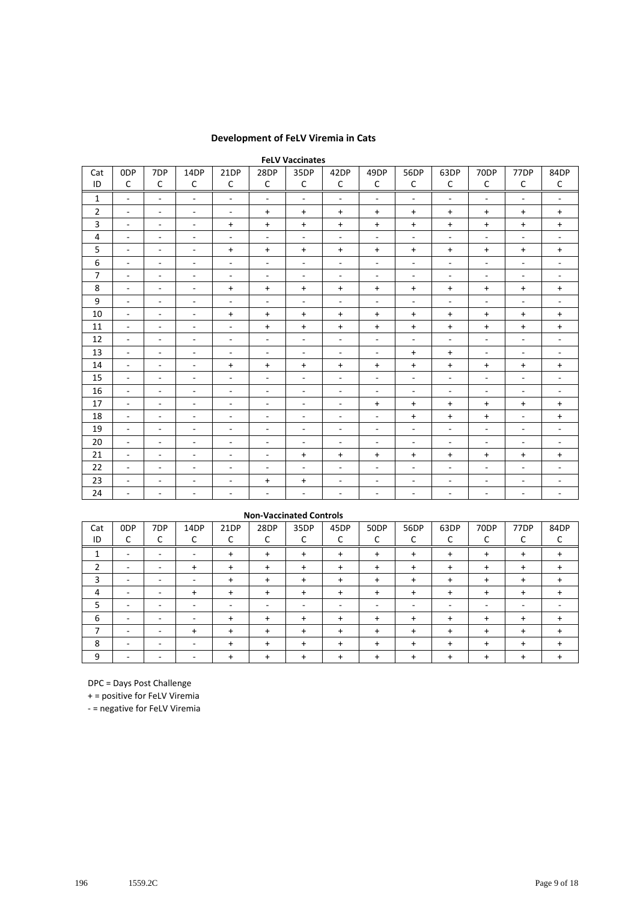### **Development of FeLV Viremia in Cats**

|                | <b>FeLV Vaccinates</b>   |                          |                          |                          |                          |                          |                          |                          |                          |                          |                          |                          |                          |  |  |
|----------------|--------------------------|--------------------------|--------------------------|--------------------------|--------------------------|--------------------------|--------------------------|--------------------------|--------------------------|--------------------------|--------------------------|--------------------------|--------------------------|--|--|
| Cat            | 0 <sub>DP</sub>          | 7DP                      | 14DP                     | 21DP                     | 28DP                     | 35DP                     | 42DP                     | 49DP                     | 56DP                     | 63DP                     | 70DP                     | 77DP                     | 84DP                     |  |  |
| ID             | C                        | C                        | C                        | C                        | C                        | C                        | C                        | C                        | C                        | C                        | C                        | C                        | C                        |  |  |
| 1              | $\overline{\phantom{a}}$ | $\overline{\phantom{a}}$ | $\overline{\phantom{a}}$ | $\overline{\phantom{a}}$ | $\overline{\phantom{a}}$ | $\overline{\phantom{a}}$ | $\overline{\phantom{a}}$ | $\overline{\phantom{a}}$ | $\overline{\phantom{a}}$ | $\overline{\phantom{a}}$ | $\overline{\phantom{a}}$ | $\overline{\phantom{a}}$ | $\overline{\phantom{a}}$ |  |  |
| $\overline{2}$ | $\overline{\phantom{a}}$ | $\overline{\phantom{a}}$ | $\overline{\phantom{a}}$ | $\overline{\phantom{a}}$ | $\ddot{}$                | $\ddot{}$                | $\ddot{}$                | $\ddot{}$                | $\ddot{}$                | $\ddot{}$                | $\ddot{}$                | $\ddot{}$                | $\ddot{}$                |  |  |
| 3              | $\overline{\phantom{a}}$ | $\overline{\phantom{a}}$ | $\overline{\phantom{a}}$ | $\ddot{}$                | $\ddot{}$                | $\ddot{}$                | $\ddot{}$                | $\ddot{}$                | $\ddot{}$                | $\ddot{}$                | $\ddot{}$                | $\ddot{}$                | $\ddot{}$                |  |  |
| 4              | $\overline{\phantom{a}}$ | $\overline{\phantom{a}}$ | $\overline{\phantom{a}}$ | $\overline{\phantom{a}}$ | $\overline{\phantom{a}}$ | $\overline{\phantom{a}}$ | $\overline{\phantom{a}}$ | $\overline{\phantom{a}}$ | $\overline{\phantom{a}}$ | $\overline{\phantom{a}}$ | $\overline{\phantom{a}}$ | $\overline{\phantom{a}}$ | $\overline{\phantom{a}}$ |  |  |
| 5              | $\overline{\phantom{a}}$ | $\overline{\phantom{a}}$ | $\overline{\phantom{a}}$ | $\ddot{}$                | $\ddot{}$                | $\ddot{}$                | $\ddot{}$                | $\ddot{}$                | $\ddot{}$                | $\ddot{}$                | $\ddot{}$                | $\ddot{}$                | $\ddot{}$                |  |  |
| 6              | $\blacksquare$           | ٠                        | $\sim$                   | $\sim$                   | ٠                        | $\overline{\phantom{a}}$ | $\overline{\phantom{a}}$ | $\overline{\phantom{a}}$ | ٠                        | $\overline{\phantom{a}}$ | $\overline{\phantom{a}}$ | $\overline{\phantom{a}}$ | ٠                        |  |  |
| $\overline{7}$ | $\blacksquare$           | $\blacksquare$           | $\overline{\phantom{a}}$ | $\blacksquare$           | $\blacksquare$           | $\overline{\phantom{a}}$ | $\overline{\phantom{a}}$ | $\blacksquare$           | $\blacksquare$           | $\blacksquare$           | $\blacksquare$           | $\overline{\phantom{a}}$ | $\overline{\phantom{a}}$ |  |  |
| 8              | $\omega$                 | $\sim$                   | $\overline{\phantom{a}}$ | $\ddot{}$                | $\ddot{}$                | $\ddot{}$                | $\ddot{}$                | $\ddot{}$                | $\ddot{}$                | $\ddot{}$                | $\ddot{}$                | $\ddot{}$                | $\ddot{}$                |  |  |
| 9              | $\sim$                   | $\overline{\phantom{a}}$ | $\sim$                   | $\blacksquare$           | ٠                        | $\overline{\phantom{a}}$ | $\overline{\phantom{a}}$ | $\blacksquare$           | ٠                        | $\overline{\phantom{a}}$ | $\blacksquare$           | $\overline{\phantom{a}}$ | $\overline{\phantom{a}}$ |  |  |
| 10             | $\sim$                   | $\overline{\phantom{a}}$ | $\overline{\phantom{a}}$ | $+$                      | $\ddot{}$                | $+$                      | $\ddot{}$                | $+$                      | $\ddot{}$                | $+$                      | $+$                      | $\ddot{}$                | $\ddot{}$                |  |  |
| 11             | $\omega$                 | $\overline{\phantom{a}}$ | $\overline{\phantom{a}}$ | $\overline{\phantom{a}}$ | $\ddot{}$                | $\ddot{}$                | $\ddot{}$                | $\ddot{}$                | $\ddot{}$                | $\ddot{}$                | $\ddot{}$                | $\ddot{}$                | $\ddot{}$                |  |  |
| 12             | $\blacksquare$           | $\overline{\phantom{a}}$ | $\overline{\phantom{a}}$ | $\overline{\phantom{a}}$ | $\overline{\phantom{a}}$ | $\overline{\phantom{a}}$ | $\overline{\phantom{a}}$ | $\overline{\phantom{a}}$ | $\overline{\phantom{a}}$ | $\overline{\phantom{a}}$ | $\blacksquare$           | $\overline{\phantom{a}}$ | $\overline{\phantom{a}}$ |  |  |
| 13             | $\overline{\phantom{a}}$ | $\overline{\phantom{a}}$ | $\overline{\phantom{a}}$ | $\overline{\phantom{a}}$ | ٠                        | $\overline{\phantom{a}}$ | $\overline{\phantom{a}}$ | $\overline{\phantom{a}}$ | $+$                      | $\ddot{}$                | $\overline{\phantom{a}}$ | $\overline{\phantom{a}}$ | $\overline{\phantom{a}}$ |  |  |
| 14             | $\sim$                   | ٠                        | $\overline{\phantom{a}}$ | $+$                      | $\ddot{}$                | $+$                      | $\ddot{}$                | $+$                      | $^{+}$                   | $\ddot{}$                | $\ddot{}$                | $\ddot{}$                | $\ddot{}$                |  |  |
| 15             | $\omega$                 | $\overline{\phantom{a}}$ | $\overline{\phantom{a}}$ | $\overline{\phantom{a}}$ | $\overline{\phantom{a}}$ | $\overline{\phantom{a}}$ | $\overline{\phantom{a}}$ | $\overline{\phantom{a}}$ | $\overline{\phantom{a}}$ | $\blacksquare$           | $\blacksquare$           | $\overline{\phantom{a}}$ | $\overline{\phantom{a}}$ |  |  |
| 16             | $\blacksquare$           | $\overline{\phantom{a}}$ | $\blacksquare$           | $\overline{\phantom{a}}$ | $\blacksquare$           | $\overline{\phantom{a}}$ | $\overline{\phantom{a}}$ | $\overline{\phantom{a}}$ | $\overline{\phantom{a}}$ | $\overline{\phantom{a}}$ | $\overline{\phantom{a}}$ | $\overline{\phantom{a}}$ | $\overline{\phantom{a}}$ |  |  |
| 17             | $\overline{\phantom{a}}$ | $\overline{\phantom{a}}$ | $\overline{\phantom{a}}$ | $\overline{\phantom{a}}$ | $\overline{\phantom{a}}$ | $\sim$                   | $\overline{\phantom{a}}$ | $\ddot{}$                | $\ddot{}$                | $\ddot{}$                | $\ddot{}$                | $\ddot{}$                | $\ddot{}$                |  |  |
| 18             | $\sim$                   | ٠                        | $\sim$                   | $\blacksquare$           | ٠                        | $\overline{\phantom{a}}$ | $\overline{\phantom{a}}$ | $\blacksquare$           | $\ddot{}$                | $\ddot{}$                | $\ddot{}$                | $\overline{\phantom{a}}$ | $\ddot{}$                |  |  |
| 19             | $\omega$                 | $\blacksquare$           | $\overline{\phantom{a}}$ | $\overline{\phantom{a}}$ | $\blacksquare$           | $\overline{\phantom{a}}$ | $\overline{\phantom{a}}$ | $\blacksquare$           | $\overline{\phantom{a}}$ | $\blacksquare$           | $\sim$                   | $\overline{\phantom{a}}$ | $\overline{\phantom{a}}$ |  |  |
| 20             | $\blacksquare$           | $\sim$                   | $\blacksquare$           | $\overline{\phantom{a}}$ | $\overline{\phantom{a}}$ | $\overline{\phantom{a}}$ | $\overline{\phantom{a}}$ | $\overline{\phantom{a}}$ | $\overline{\phantom{a}}$ | $\overline{\phantom{a}}$ | $\overline{\phantom{a}}$ | $\overline{\phantom{a}}$ | $\overline{\phantom{a}}$ |  |  |
| 21             | $\overline{\phantom{a}}$ | $\overline{\phantom{a}}$ | $\sim$                   | $\overline{\phantom{a}}$ | $\overline{\phantom{a}}$ | $\ddot{}$                | $\ddot{}$                | $\ddot{}$                | $^{+}$                   | $\ddot{}$                | $\ddot{}$                | $\ddot{}$                | $\ddot{}$                |  |  |
| 22             | $\sim$                   | ٠                        | $\sim$                   | $\overline{\phantom{a}}$ | $\overline{\phantom{a}}$ | $\overline{\phantom{a}}$ | ٠                        | $\overline{\phantom{a}}$ | ٠                        | $\overline{\phantom{a}}$ | $\overline{\phantom{a}}$ | $\overline{\phantom{a}}$ | $\overline{\phantom{a}}$ |  |  |
| 23             | $\overline{\phantom{a}}$ | $\overline{\phantom{a}}$ | $\overline{\phantom{a}}$ | $\overline{\phantom{a}}$ | $\ddot{}$                | $\ddot{}$                | $\overline{\phantom{a}}$ | $\overline{\phantom{a}}$ | $\overline{\phantom{a}}$ | $\overline{\phantom{a}}$ | $\overline{\phantom{a}}$ | $\overline{\phantom{a}}$ | $\overline{\phantom{a}}$ |  |  |
| 24             | $\overline{\phantom{a}}$ | $\overline{\phantom{a}}$ | $\overline{\phantom{a}}$ | $\overline{\phantom{a}}$ | $\overline{\phantom{a}}$ | $\overline{\phantom{a}}$ | ÷                        | $\overline{\phantom{a}}$ | $\overline{\phantom{a}}$ | $\overline{\phantom{a}}$ | $\overline{\phantom{a}}$ | ٠                        | $\overline{\phantom{a}}$ |  |  |

|     | <b>Non-Vaccinated Controls</b>                                                                                      |   |           |           |           |           |           |           |           |           |           |           |  |  |  |
|-----|---------------------------------------------------------------------------------------------------------------------|---|-----------|-----------|-----------|-----------|-----------|-----------|-----------|-----------|-----------|-----------|--|--|--|
| Cat | 7DP<br>28DP<br>50DP<br>63DP<br>70DP<br>0 <sub>DP</sub><br>14DP<br>21DP<br>35DP<br>45DP<br>56DP<br>77DP<br>84DP<br>∽ |   |           |           |           |           |           |           |           |           |           |           |  |  |  |
| ID  | ◡                                                                                                                   |   | ֊         | С         |           | ◡         |           | ◡         |           | r<br>J    |           | ╰         |  |  |  |
| ┻   | -                                                                                                                   | - | ۰         | $\ddot{}$ | $\ddot{}$ | $\ddot{}$ | $\ddot{}$ | $\ddot{}$ | $\ddot{}$ | $\ddot{}$ | $\ddot{}$ | $\ddot{}$ |  |  |  |
|     | -                                                                                                                   |   | $\ddot{}$ | $\ddot{}$ | $\ddot{}$ | $\ddot{}$ | $\ddot{}$ | $\ddot{}$ | $\ddot{}$ | $\ddot{}$ | ÷.        | $\ddot{}$ |  |  |  |
| 3   |                                                                                                                     |   | -         | $\ddot{}$ | $\ddot{}$ | $\ddot{}$ | $\ddot{}$ | $\ddot{}$ | $\ddot{}$ | $\ddot{}$ | $\ddot{}$ | $\ddot{}$ |  |  |  |
| 4   |                                                                                                                     |   | $\ddot{}$ | $\ddot{}$ | $\ddot{}$ | $\ddot{}$ | $\ddot{}$ | $\ddot{}$ | $\ddot{}$ | $\ddot{}$ | $\ddot{}$ | $\ddot{}$ |  |  |  |
| 5   |                                                                                                                     |   |           | -         |           |           |           |           |           |           |           | -         |  |  |  |
| 6   |                                                                                                                     |   |           | $\ddot{}$ | $\ddot{}$ | $\ddot{}$ | $\ddot{}$ | $\ddot{}$ | $\ddot{}$ | $\ddot{}$ | ÷.        | $\ddot{}$ |  |  |  |
| ⇁   |                                                                                                                     |   | $\ddot{}$ | $\ddot{}$ | $\ddot{}$ | $\ddot{}$ | $\ddot{}$ | $\ddot{}$ | $\ddot{}$ | $\ddot{}$ | $\ddot{}$ | $\ddot{}$ |  |  |  |
| 8   | -                                                                                                                   | - |           | $\ddot{}$ | $\ddot{}$ | $\ddot{}$ | $\ddot{}$ | $\ddot{}$ | $\ddot{}$ | $\ddot{}$ | $\ddot{}$ | $\ddot{}$ |  |  |  |
| 9   |                                                                                                                     |   |           |           |           | $\ddot{}$ | $\div$    | $\ddot{}$ |           | $\ddot{}$ | +         | ٠         |  |  |  |

DPC = Days Post Challenge

+ = positive for FeLV Viremia

- = negative for FeLV Viremia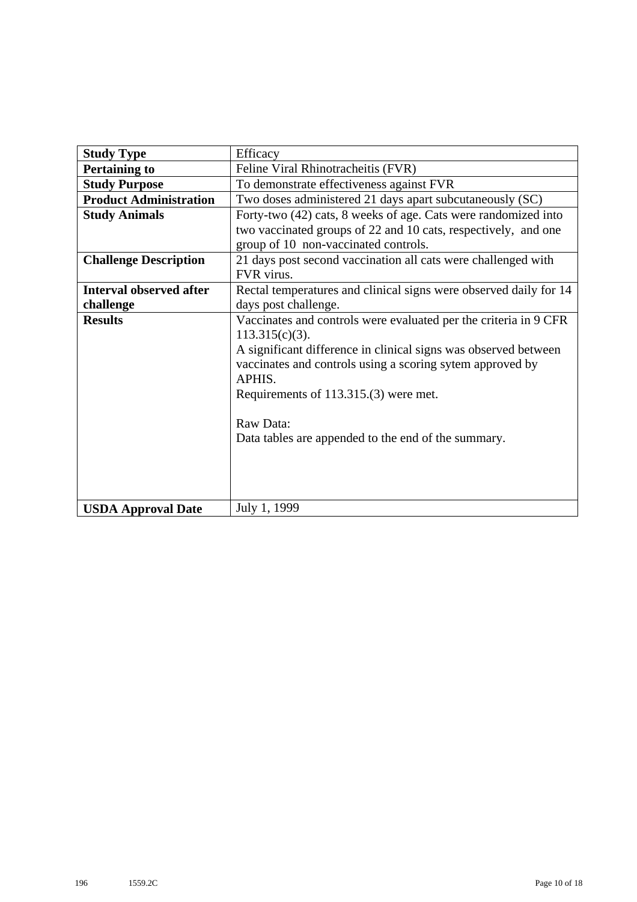| <b>Study Type</b>              | Efficacy                                                          |
|--------------------------------|-------------------------------------------------------------------|
| <b>Pertaining to</b>           | Feline Viral Rhinotracheitis (FVR)                                |
| <b>Study Purpose</b>           | To demonstrate effectiveness against FVR                          |
| <b>Product Administration</b>  | Two doses administered 21 days apart subcutaneously (SC)          |
| <b>Study Animals</b>           | Forty-two (42) cats, 8 weeks of age. Cats were randomized into    |
|                                | two vaccinated groups of 22 and 10 cats, respectively, and one    |
|                                | group of 10 non-vaccinated controls.                              |
| <b>Challenge Description</b>   | 21 days post second vaccination all cats were challenged with     |
|                                | FVR virus.                                                        |
| <b>Interval observed after</b> | Rectal temperatures and clinical signs were observed daily for 14 |
| challenge                      | days post challenge.                                              |
| <b>Results</b>                 | Vaccinates and controls were evaluated per the criteria in 9 CFR  |
|                                | $113.315(c)(3)$ .                                                 |
|                                | A significant difference in clinical signs was observed between   |
|                                | vaccinates and controls using a scoring sytem approved by         |
|                                | APHIS.                                                            |
|                                | Requirements of 113.315.(3) were met.                             |
|                                | Raw Data:                                                         |
|                                | Data tables are appended to the end of the summary.               |
|                                |                                                                   |
|                                |                                                                   |
|                                |                                                                   |
|                                |                                                                   |
| <b>USDA Approval Date</b>      | July 1, 1999                                                      |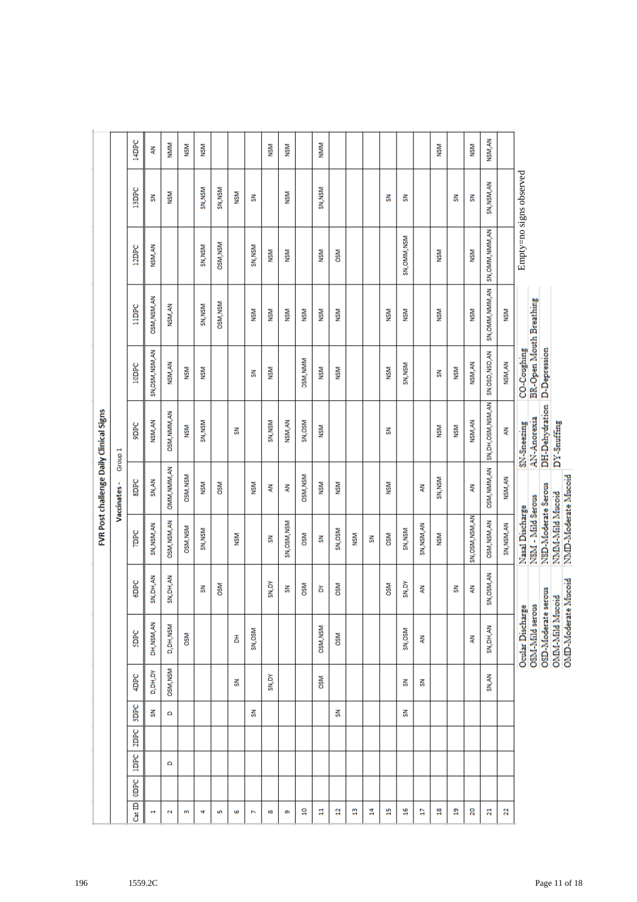|                                         |                                   | 14DPC        | Ę                | NMM          | <b>NSM</b>      | ÑЯ         |                 |            |            | <b>NSM</b> | МSМ          |                 | NMM             |            |            |   |            |              |             | <b>NSM</b> |            | <b>NSM</b>       | NSM, AN                 |                |                                                                                                             |
|-----------------------------------------|-----------------------------------|--------------|------------------|--------------|-----------------|------------|-----------------|------------|------------|------------|--------------|-----------------|-----------------|------------|------------|---|------------|--------------|-------------|------------|------------|------------------|-------------------------|----------------|-------------------------------------------------------------------------------------------------------------|
|                                         |                                   | <b>ISDPC</b> | 풂                | MSM          |                 | SN, NSM    | SN, NSM         | <b>NSM</b> | 줆          |            | <b>NSM</b>   |                 | SN, NSM         |            |            |   | 줅          | 중            |             |            | 룱          | 룲                | SN, NSM, AN             |                | Empty=no signs observed                                                                                     |
|                                         |                                   | 12DPC        | NSM,AN           |              |                 | SN, NSM    | OSM, NSM        |            | SN, NSM    | MSM        | <b>NSM</b>   |                 | <b>NSM</b>      | <b>OSM</b> |            |   |            | SN, OMM, NSM |             | MSM        |            | <b>NSM</b>       | SN, OMM, NMM, AN        |                |                                                                                                             |
|                                         |                                   | <b>TIDEC</b> | OSM, NSM, AN     | NSM, AN      |                 | SN, NSM    | <b>DSM, NSM</b> |            | <b>NSM</b> | NSM        | <b>NSM</b>   | <b>NSM</b>      | <b>NSM</b>      | <b>NSM</b> |            |   | MSM        | MSM          |             | ÑЯ         |            | <b>NSM</b>       | SN, OMM, NMM, AN        | ÑЯ             |                                                                                                             |
|                                         |                                   | <b>10DPC</b> | SN, OSM, NSM, AN | NSM, AN      | <b>NSM</b>      | <b>NSM</b> |                 |            | 룲          | MSM        |              | OSM, NMM        | <b>NSM</b>      | <b>NSM</b> |            |   | MSM        | SN, NSM      |             | š          | <b>NSM</b> | NSM, AN          | SN, OSD, NSD, AN        | NSM, AN        | <b>BR-Open Mouth Breathing</b><br>D-Depression<br>CO-Coughing                                               |
|                                         |                                   | <b>SIDEC</b> | NSM, AN          | OSM, NMM, AN | <b>NSM</b>      | SN, NSM    |                 | 줆          |            | SN, NSM    | NSM, AN      | SN, OSM         | <b>NSM</b>      |            |            |   | 줆          |              |             | <b>NSM</b> | NSM        | NSM, AN          | SN, DH, OSM, NSM, AN    | ⋛              | DH-Dehydration<br>AN-Anorexia<br>DY-Snuffing<br>SN-Sneezing                                                 |
| FVR Post challenge Daily Clinical Signs | Group <sub>1</sub><br>Vaccinates- | <b>SIDPC</b> | SN, AN           | OMM, NMM, AN | OSM, NSM        | <b>NSM</b> | <b>OSM</b>      |            | <b>NSM</b> | ₹          | Ę            | <b>OSM, NSM</b> | <b>NSM</b>      | <b>NSM</b> |            |   | NSМ        |              | Ę           | SN, NSM    |            | Ę                | OSM, NMM, AN            | NSM, AN        |                                                                                                             |
|                                         |                                   | <b>TDPC</b>  | SN, NSM, AN      | OSM, NSM, AN | <b>OSM, NSM</b> | SN, NSM    |                 | <b>NSM</b> |            | 룲          | SN, OSM, NSM | <b>OSM</b>      | š               | SN, OSM    | <b>NSM</b> | 줆 | <b>OSM</b> | SN, NSM      | SN, NSM, AN | <b>NSM</b> |            | SN, OSM, NSM, AN | OSM, NSM, AN            | SN, NSM, AN    | NMD-Moderate Mucoid<br>NSD-Moderate Serous<br>NMM-Mild Mucoid<br>NSM - Mild Serous<br>Nasal Discharge       |
|                                         |                                   | 6DPC         | SN, DH, AN       | SN, DH, AN   |                 | š          | <b>NSO</b>      |            |            | SN,DY      | 룲            | <b>OSM</b>      | ă               | <b>OSM</b> |            |   | <b>OSM</b> | SN,DY        | ₹           |            | 중          | Ę                | SN, OSM, AN             |                |                                                                                                             |
|                                         |                                   | SDPC         | DH, NSM, AN      | D, DH, NSM   | <b>OSM</b>      |            |                 | 품          | SN, OSM    |            |              |                 | <b>OSM, NSM</b> | <b>OSM</b> |            |   |            | SN, OSM      | Ę           |            |            | ξ                | SN, DH, AN              |                | OMD-Moderate Mucoid<br>OSD-Moderate serous<br><b>OMM-Mild Mucoid</b><br>OSM-Mild serous<br>Ocular Discharge |
|                                         |                                   | 4DPC         | D,DH,DY          | OSM, NSM     |                 |            |                 | 줆          |            | SN,DY      |              |                 | <b>OSM</b>      |            |            |   |            | 중            | 줅           |            |            |                  | SN, AN                  |                |                                                                                                             |
|                                         |                                   | <b>SDPC</b>  | 줆                | ٥            |                 |            |                 |            | 줅          |            |              |                 |                 | 룱          |            |   |            | 줆            |             |            |            |                  |                         |                |                                                                                                             |
|                                         |                                   | 2DPC         |                  |              |                 |            |                 |            |            |            |              |                 |                 |            |            |   |            |              |             |            |            |                  |                         |                |                                                                                                             |
|                                         |                                   | <b>IDPC</b>  |                  | ٥            |                 |            |                 |            |            |            |              |                 |                 |            |            |   |            |              |             |            |            |                  |                         |                |                                                                                                             |
|                                         |                                   | ODPC         |                  |              |                 |            |                 |            |            |            |              |                 |                 |            |            |   |            |              |             |            |            |                  |                         |                |                                                                                                             |
|                                         |                                   | $Cat$ ID     | н                | 2            | m               | 4          | Lņ,             | G          | N          | œ          | G)           | å               | 븝               | a          | a          | 봌 | H          | ٩            | Ħ           | 윾          | a          | 20               | $\overline{\mathbf{z}}$ | $\overline{2}$ |                                                                                                             |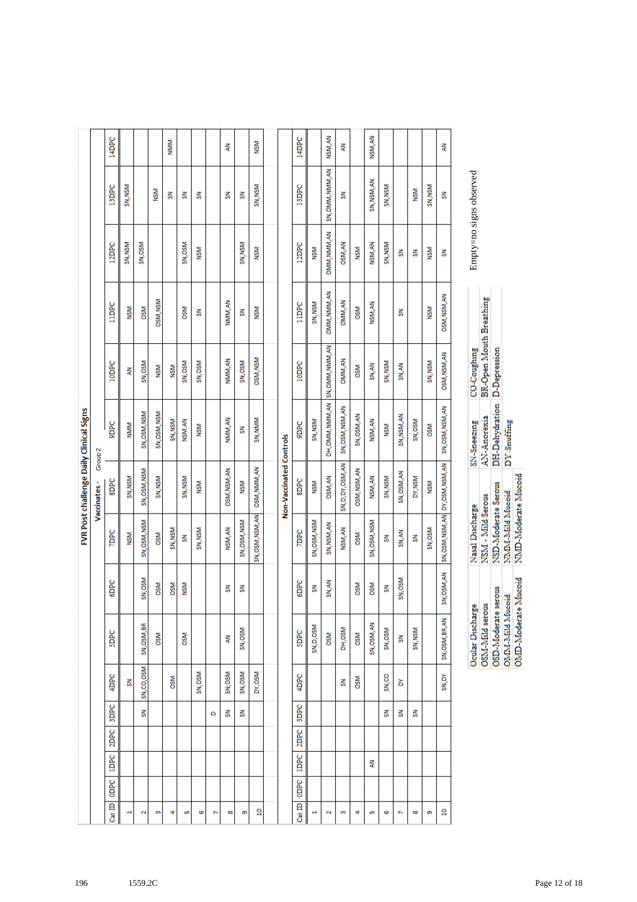|                |             |      |             |            |                  |             |                  |                                   | FVR Post challenge Daily Clinical Signs |                  |                 |                 |                         |              |
|----------------|-------------|------|-------------|------------|------------------|-------------|------------------|-----------------------------------|-----------------------------------------|------------------|-----------------|-----------------|-------------------------|--------------|
|                |             |      |             |            |                  |             |                  | Vaccinates-                       | Group <sub>2</sub>                      |                  |                 |                 |                         |              |
| ODPC<br>Cat ID | <b>IDPC</b> | 2DPC | <b>SDPC</b> | 4DPC       | SDPC             | 6DPC        | <b>TDPC</b>      | <b>SIDPC</b>                      | <b>Sudd</b>                             | <b>10DPC</b>     | lippc           | 12DPC           | <b>13DPC</b>            | 14DPC        |
| ÷              |             |      |             | 롦          |                  |             | NSM              | SN, NSM                           | <b>NMM</b>                              | Ę                | <b>NSM</b>      | SN, NSM         | SN, NSM                 |              |
| N              |             |      | 룷           | SN,CO,OSM  | SN, OSM, BR      | SN, OSM     | SN, OSM, NSM     | SN, OSM, NSM                      | SN, OSM, NSM                            | SN, OSM          | <b>OSM</b>      | SN, OSM         |                         |              |
| m              |             |      |             |            | <b>OSM</b>       | <b>OSM</b>  | <b>DSM</b>       | SN, NSM                           | SN, OSM, NSM                            | <b>NSM</b>       | <b>OSM, NSM</b> |                 | <b>NSM</b>              |              |
| 4              |             |      |             | <b>OSM</b> |                  | <b>OSM</b>  | SN, NSM          |                                   | SN, NSM                                 | <b>NSM</b>       |                 |                 | š                       | <b>NIMIM</b> |
| un,            |             |      |             |            | <b>NSO</b>       | <b>NSM</b>  | š                | SN, NSM                           | NSM.AN                                  | SN, OSM          | <b>OSM</b>      | SN, OSM         | š                       |              |
| Ф              |             |      |             | SN, OSM    |                  |             | SN, NSM          | <b>NSM</b>                        | <b>NSM</b>                              | SN, OSM          | 룲               | <b>NSM</b>      | 룷                       |              |
| N              |             |      | ۵           |            |                  |             |                  |                                   |                                         |                  |                 |                 |                         |              |
| 8              |             |      | 중           | SN, OSM    | Ę                | š           | NSM, AN          | OSM, NSM, AN                      | NMM <sub>,</sub> AN                     | NMM, AN          | NMM, AN         |                 | š                       | Ę            |
| Ø)             |             |      | 룷           | SN, OSM    | SN, OSM          | 롦           | SN, OSM, NSM     | <b>NSM</b>                        | š                                       | SN, OSM          | š               | SN, NSM         | š                       |              |
| ខ្ព            |             |      |             | DY, OSM    |                  |             | SN, OSM, NSM, AN | OSM, NMM, AN                      | SN, NMM                                 | <b>OSM, NSM</b>  | <b>NSM</b>      | <b>NSM</b>      | SN, NSM                 | <b>NSM</b>   |
|                |             |      |             |            |                  |             |                  |                                   |                                         |                  |                 |                 |                         |              |
|                |             |      |             |            |                  |             |                  | Non-Vaccinated Controls           |                                         |                  |                 |                 |                         |              |
| ODPC<br>Cat ID | <b>IDPC</b> | 2DPC | <b>SDPC</b> | 4DPC       | SDPC             | 6DPC        | <b>TDPC</b>      | <b>SDPC</b>                       | <b>SudG</b>                             | 10DPC            | <b>TIDPC</b>    | 12DPC           | 13DPC                   | 14DPC        |
| H              |             |      |             |            | SN, D, OSM       | š           | SN, OSM, NSM     | <b>NSM</b>                        | SN, NSM                                 |                  | SN, NSM         | <b>NSM</b>      |                         |              |
| N              |             |      |             |            | <b>OSM</b>       | SN, AN      | SN, NSM, AN      | <b>DSM,AN</b>                     | DH, OMM, NMM, AN                        | SN, OMM, NMM, AN | OMM, NMM, AN    | OMM, NMM, AN    | SN, OMM, NMM, AN        | NSM, AN      |
| m              |             |      |             | 룲          | DH, OSM          |             | NSM, AN          | SN, D, DY, OSM, AN                | SN, OSM, NSM, AN                        | OMM, AN          | <b>DMM,AN</b>   | <b>DISM, AN</b> | š                       | Ę            |
| 4              |             |      |             | <b>OSM</b> | <b>DSM</b>       | <b>OSM</b>  | <b>DSM</b>       | OSM, NSM, AN                      | SN, OSM, AN                             | <b>DSM</b>       | <b>DSM</b>      | <b>NSM</b>      |                         |              |
| ιñ,            | Ę           |      |             |            | SN, OSM, AN      | <b>OSM</b>  | SN, OSM, NSM     | NSM, AN                           | NSM, AN                                 | SN, AN           | NSM, AN         | NSM, AN         | SN, NSM, AN             | NSM, AN      |
| Ф              |             |      | 중           | SN,CO      | SN, OSM          | š           | š                | SN, NSM                           | NSM                                     | SN, NSM          |                 | SN, NSM         | SN, NSM                 |              |
| N              |             |      | 중           | ă          | š                | SN, OSM     | SN, AN           | SN, OSM, AN                       | SN, NSM, AN                             | SN, AN           | š               | š               |                         |              |
| œ              |             |      | 중           |            | SN, NSM          |             | š                | DY, NSM                           | SN, OSM                                 |                  |                 | š               | <b>NSM</b>              |              |
| Ō,             |             |      |             |            |                  |             | SN, OSM          | NSM                               | <b>DSM</b>                              | SN, NSM          | <b>NSM</b>      | ÑЯ              | SN, NSM                 |              |
| ទួ             |             |      |             | SN,DY      | SN, OSM, BR, AN  | SN, OSM, AN |                  | SN, OSM, NSM, AN DY, OSM, NSM, AN | SN, OSM, NSM, AN                        | OSM, NSM, AN     | OSM, NSM, AN    | š               | š                       | Ę            |
|                |             |      |             |            | Ocular Discharge |             | Nasal Discharge  |                                   | SN-Sneezing                             | CO-Coughing      |                 |                 | Empty=no signs observed |              |

| Ocular Discharge    | Vasal Discharge                                 | N-Sneezing  | <b>CO-Coughing</b>      | Empty=no |
|---------------------|-------------------------------------------------|-------------|-------------------------|----------|
| OSM-Mild serous     | NSM - Mild Serous                               | AN Anorexia | BR-Open Mouth Breathing |          |
| OSD-Moderate serous | NSD-Moderate Serous DH-Dehydration D-Depression |             |                         |          |
| OMIM-Mild Mucoid    | NMM-Mild Mucoid                                 | DY-Snuffing |                         |          |
|                     | OMD-Moderate Mucoid NMD-Moderate Mucoid         |             |                         |          |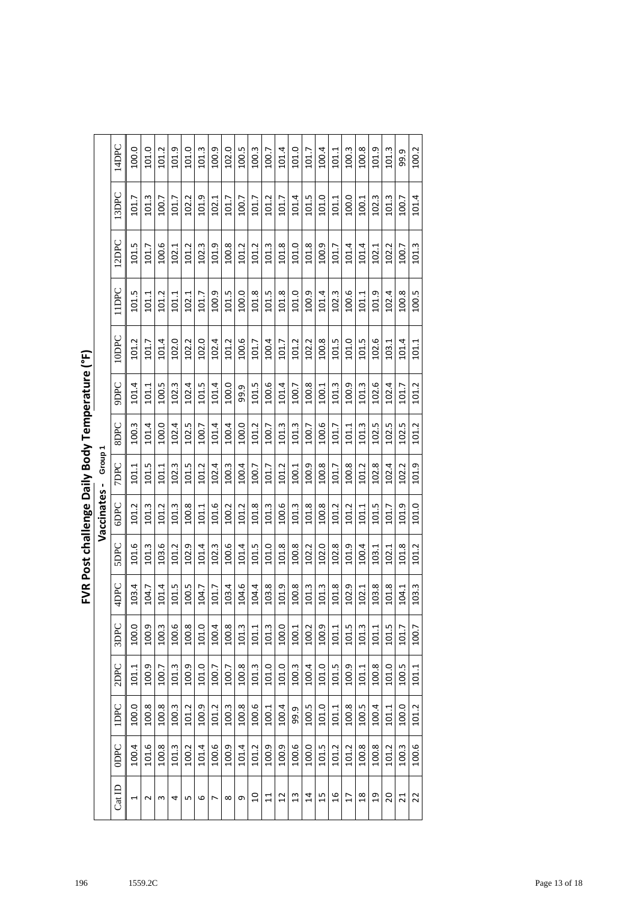|                                                |                    | 14DPC       | 100.0          | 101.0  | 101.2 | 101.9 | 101.0 | 101.3 | 100.9 | 102.0    | 100.5 | 100.3          | 100.7           | 101.4           | 101.0 | 101.7          | 100.4 | 101.1 | 100.3          | 100.8         | 101.9          | 101.3 | 99.9            | 100.2 |
|------------------------------------------------|--------------------|-------------|----------------|--------|-------|-------|-------|-------|-------|----------|-------|----------------|-----------------|-----------------|-------|----------------|-------|-------|----------------|---------------|----------------|-------|-----------------|-------|
|                                                |                    | 13DPC       | 101.7          | 101.3  | 100.7 | 101.7 | 102.2 | 101.9 | 102.1 | 101.7    | 100.7 | 101.7          | 101.2           | 101.7           | 101.4 | 101.5          | 101.0 | 101.1 | 100.0          | 100.1         | 102.3          | 101.3 | 100.7           | 101.4 |
|                                                |                    | 12DPC       | 101.5          | 101.7  | 100.6 | 102.1 | 101.2 | 102.3 | 101.9 | 100.8    | 101.2 | 101.2          | 101.3           | 101.8           | 101.0 | 101.8          | 100.9 | 101.7 | 101.4          | 101.4         | 102.1          | 102.2 | 100.7           | 101.3 |
|                                                |                    | 11DPC       | 101.5          | 101.1  | 101.2 | 101.1 | 102.1 | 101.7 | 100.9 | 101.5    | 100.0 | 101.8          | 101.5           | 101.8           | 101.0 | 100.9          | 101.4 | 102.3 | 100.6          | 101.1         | 101.9          | 102.4 | 100.8           | 100.5 |
|                                                |                    | 10DPC       | 101.2          | 101.7  | 101.4 | 102.0 | 102.2 | 102.0 | 102.4 | 101.2    | 100.6 | 101.7          | 100.4           | 101.7           | 101.2 | 102.2          | 100.8 | 101.5 | 101.0          | 101.5         | 102.6          | 103.1 | 101.4           | 101.1 |
| FVR Post challenge Daily Body Temperature (°F) |                    | <b>JAGG</b> | 101.4          | 101.1  | 100.5 | 102.3 | 102.4 | 101.5 | 101.4 | 100.0    | 99.9  | 101.5          | 100.6           | 101.4           | 100.7 | 100.8          | 100.1 | 101.3 | 100.9          | 101.3         | 102.6          | 102.4 | 101.7           | 101.2 |
|                                                |                    | SDPC        | 100.3          | 101.4  | 100.0 | 102.4 | 102.5 | 100.7 | 101.4 | 100.4    | 100.0 | 101.2          | 100.7           | 101.3           | 101.3 | 100.7          | 100.6 | 101.7 | 101.1          | 101.3         | 102.5          | 102.5 | 102.5           | 101.2 |
|                                                | Group <sup>-</sup> | <b>JOBC</b> | 101.1          | 101.5  | 101.1 | 102.3 | 101.5 | 101.2 | 102.4 | 100.3    | 100.4 | 100.7          | 101.7           | 101.2           | 100.1 | 100.9          | 100.8 | 101.7 | 100.8          | 101.2         | 102.8          | 102.4 | 102.2           | 101.9 |
|                                                | Vaccinates-        | 6DPC        | 101.2          | 101.3  | 101.2 | 101.3 | 100.8 | 101.1 | 101.6 | 100.2    | 101.2 | 101.8          | 101.3           | 100.6           | 101.3 | 101.8          | 100.8 | 101.2 | 101.2          | 101.1         | 101.5          | 101.7 | 101.9           | 101.0 |
|                                                |                    | SDPC        | 101.6          | 101.3  | 103.6 | 101.2 | 102.9 | 101.4 | 102.3 | 100.6    | 101.4 | 101.5          | 101.0           | 101.8           | 100.8 | 102.2          | 102.0 | 102.8 | 101.9          | 100.4         | 103.1          | 102.1 | 101.8           | 101.2 |
|                                                |                    | 4DPC        | 103.4          | 104.7  | 101.4 | 101.5 | 100.5 | 104.7 | 101.7 | 103.4    | 104.6 | 104.4          | 103.8           | 101.9           | 100.8 | 101.3          | 101.3 | 101.8 | 102.9          | 102.1         | 103.8          | 101.8 | 104.1           | 103.3 |
|                                                |                    | 3DPC        | 100.0          | 100.9  | 100.3 | 100.6 | 100.8 | 101.0 | 100.4 | 100.8    | 101.3 | 101.1          | 101.3           | 100.0           | 100.1 | 100.2          | 100.9 | 101.1 | 101.5          | 101.3         | 101.1          | 101.5 | 101.7           | 100.7 |
|                                                |                    | 2DPC        | 101.1          | 100.9  | 100.7 | 101.3 | 100.9 | 101.0 | 100.7 | 100.7    | 100.8 | 101.3          | 101.0           | 101.0           | 100.3 | 100.4          | 101.0 | 101.5 | 100.9          | 101.1         | 100.8          | 101.0 | 100.5           | 101.1 |
|                                                |                    | <b>IDPC</b> | 100.0          | 100.8  | 100.8 | 100.3 | 101.2 | 100.9 | 101.2 | 100.3    | 100.8 | 100.6          | 100.1           | 100.4           | 99.9  | 100.5          | 101.0 | 101.1 | 100.8          | 100.5         | 100.4          | 101.1 | 100.0           | 101.2 |
|                                                |                    | <b>ODPC</b> | 100.4          | 101.6  | 100.8 | 101.3 | 100.2 | 101.4 | 100.6 | 100.9    | 101.4 | 101.2          | 100.9           | 100.9           | 100.6 | 100.0          | 101.5 | 101.2 | 101.2          | 100.8         | 100.8          | 101.2 | 100.3           | 100.6 |
|                                                |                    | $Cat$ ID    | $\overline{ }$ | $\sim$ | S     | 4     | Б     | 6     | L     | $\infty$ | თ     | $\overline{a}$ | $\overline{11}$ | $\overline{12}$ | 13    | $\overline{1}$ | 15    | 16    | $\overline{1}$ | $\frac{8}{2}$ | $\overline{c}$ | 20    | $\overline{21}$ | 22    |

| ī                                                                        |
|--------------------------------------------------------------------------|
|                                                                          |
| i<br>Q<br>è                                                              |
| $\frac{1}{2}$<br>١<br>֧֦֦֦֦֦֦֧֦֦֧֦֧֦֧֦֧֦֝֝֝֝֝֝֬֝֟֓֟<br>ن<br>P<br>P<br>٦. |
| י<br>נ                                                                   |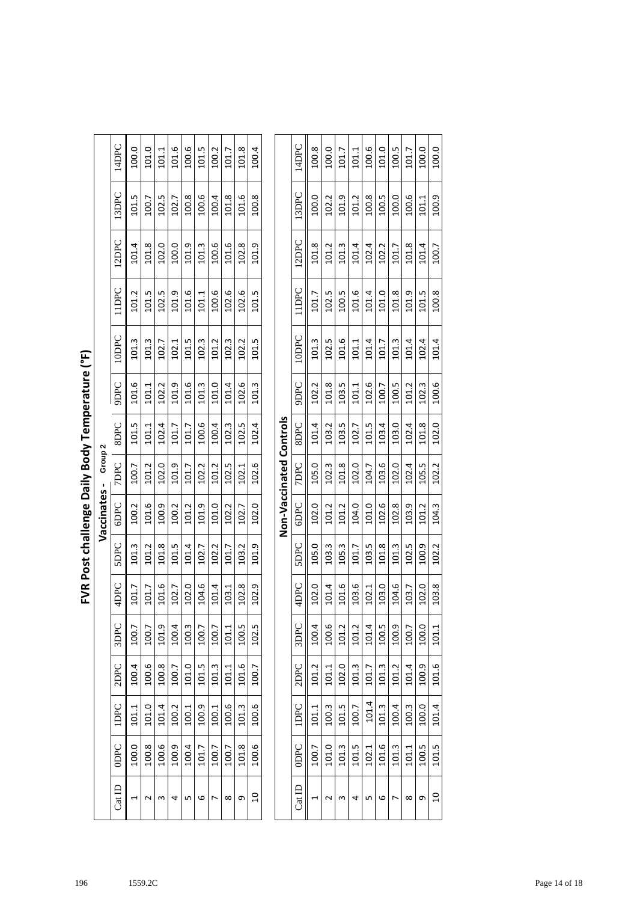|                      | 14DPC       | 100.0 | 101.0 | 101.1 | 101.6 | 100.6 | 101.5 | 100.2 | 101.7 | 101.8 | 100.4 |
|----------------------|-------------|-------|-------|-------|-------|-------|-------|-------|-------|-------|-------|
|                      | 13DPC       | 101.5 | 100.7 | 102.5 | 102.7 | 100.8 | 100.6 | 100.4 | 101.8 | 101.6 | 100.8 |
|                      | 12DPC       | 101.4 | 101.8 | 102.0 | 100.0 | 101.9 | 101.3 | 100.6 | 101.6 | 102.8 | 101.9 |
|                      | <b>UDPC</b> | 101.2 | 101.5 | 102.5 | 101.9 | 101.6 | 101.1 | 100.6 | 102.6 | 102.6 | 101.5 |
|                      | ODPC        | 101.3 | 101.3 | 102.7 | 102.1 | 101.5 | 102.3 | 101.2 | 102.3 | 102.2 | 101.5 |
|                      | <b>JAGG</b> | 101.6 | 101.1 | 102.2 | 101.9 | 101.6 | 101.3 | 101.0 | 101.4 | 102.6 | 101.3 |
|                      | <b>SDPC</b> | 101.5 | 101.1 | 102.4 | 101.7 | 101.7 | 100.6 | 100.4 | 102.3 | 102.5 | 102.4 |
| Vaccinates - Group 2 | <b>7DPC</b> | 100.7 | 101.2 | 102.0 | 101.9 | 101.7 | 102.2 | 101.2 | 102.5 | 102.1 | 102.6 |
| ,                    | <b>GDPC</b> | 100.2 | 101.6 | 100.9 | 100.2 | 101.2 | 101.9 | 101.0 | 102.2 | 102.7 | 102.0 |
|                      | <b>SDPC</b> | 101.3 | 101.2 | 101.8 | 101.5 | 101.4 | 102.7 | 102.2 | 101.7 | 103.2 | 101.9 |
|                      | 4DPC        | 101.7 | 101.7 | 101.6 | 102.7 | 102.0 | 104.6 | 101.4 | 103.1 | 102.8 | 102.9 |
|                      | 3DPC        | 100.7 | 100.7 | 101.9 | 100.4 | 100.3 | 100.7 | 100.7 | 101.1 | 100.5 | 102.5 |
|                      | 2DPC        | 100.4 | 100.6 | 100.8 | 100.7 | 101.0 | 101.5 | 101.3 | 101.1 | 101.6 | 100.7 |
|                      | IDPC        | 101.1 | 101.0 | 101.4 | 100.2 | 100.1 | 100.9 | 100.1 | 100.6 | 101.3 | 100.6 |
|                      | ODPC        | 100.0 | 100.8 | 100.6 | 100.9 | 100.4 | 101.7 | 100.7 | 100.7 | 101.8 | 100.6 |
|                      | $Cat$ ID    |       |       |       | 4     | Щ     | 6     |       | ∞     | Ō     | $\Xi$ |

| ì         |
|-----------|
| i         |
|           |
| Nils<br>C |
| D         |
|           |
| í<br>Č    |

|                         | 14DPC       | 100.8 | 100.0 | 101.7 | 101.1 | 100.6 | 101.0 | 100.5 | 101.7 | 100.0 | 100.0          |
|-------------------------|-------------|-------|-------|-------|-------|-------|-------|-------|-------|-------|----------------|
|                         | 13DPC       | 100.0 | 102.2 | 101.9 | 101.2 | 100.8 | 100.5 | 100.0 | 100.6 | 101.1 | 100.9          |
|                         | 12DPC       | 101.8 | 101.2 | 101.3 | 101.4 | 102.4 | 102.2 | 101.7 | 101.8 | 101.4 | 100.7          |
|                         | <b>UDPC</b> | 101.7 | 102.5 | 100.5 | 101.6 | 101.4 | 101.0 | 101.8 | 101.9 | 101.5 | 100.8          |
|                         | 10DPC       | 101.3 | 102.5 | 101.6 | 101.1 | 101.4 | 101.7 | 101.3 | 101.4 | 102.4 | 101.4          |
|                         | <b>JdG6</b> | 102.2 | 101.8 | 103.5 | 101.1 | 102.6 | 100.7 | 100.5 | 101.2 | 102.3 | 100.6          |
|                         | SDPC        | 101.4 | 103.2 | 103.5 | 102.7 | 101.5 | 103.4 | 103.0 | 102.4 | 101.8 | 102.0          |
| Non-Vaccinated Controls | <b>JOPC</b> | 105.0 | 102.3 | 101.8 | 102.0 | 104.7 | 103.6 | 102.0 | 102.4 | 105.5 | 102.2          |
|                         | 6DPC        | 102.0 | 101.2 | 101.2 | 104.0 | 101.0 | 102.6 | 102.8 | 103.9 | 101.2 | 104.3          |
|                         | SDPC        | 105.0 | 103.3 | 105.3 | 101.7 | 103.5 | 101.8 | 101.3 | 102.5 | 100.9 | 102.2          |
|                         | 4DPC        | 102.0 | 101.4 | 101.6 | 103.6 | 102.1 | 103.0 | 104.6 | 103.7 | 102.0 | 103.8          |
|                         | 3DPC        | 100.4 | 100.6 | 101.2 | 101.2 | 101.4 | 100.5 | 100.9 | 100.7 | 100.0 | 101.1          |
|                         | 2DPC        | 101.2 | 101.1 | 102.0 | 101.3 | 101.7 | 101.3 | 101.2 | 101.4 | 100.9 | 101.6          |
|                         | <b>UDPC</b> | 101.1 | 100.3 | 101.5 | 100.7 | 101.4 | 101.3 | 100.4 | 100.3 | 100.0 | 101.4          |
|                         | ODPC        | 100.7 | 101.0 | 101.3 | 101.5 | 102.1 | 101.6 | 101.3 | 101.1 | 100.5 | 101.5          |
|                         | Cat ID      |       |       | ξ     | 4     | ь     | 6     |       | ∞     | G     | $\overline{a}$ |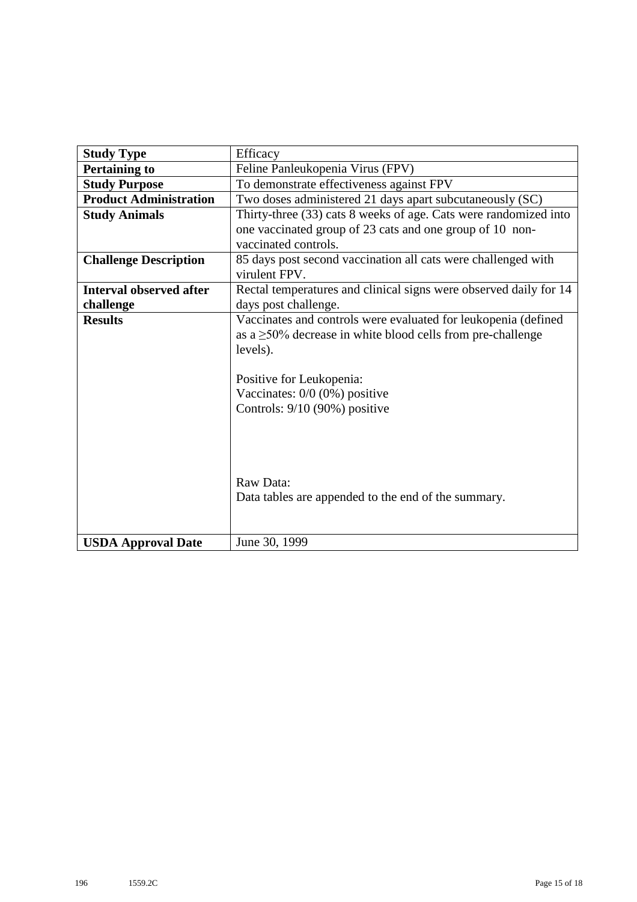| <b>Study Type</b>              | Efficacy                                                          |
|--------------------------------|-------------------------------------------------------------------|
| <b>Pertaining to</b>           | Feline Panleukopenia Virus (FPV)                                  |
| <b>Study Purpose</b>           | To demonstrate effectiveness against FPV                          |
| <b>Product Administration</b>  | Two doses administered 21 days apart subcutaneously (SC)          |
| <b>Study Animals</b>           | Thirty-three (33) cats 8 weeks of age. Cats were randomized into  |
|                                | one vaccinated group of 23 cats and one group of 10 non-          |
|                                | vaccinated controls.                                              |
| <b>Challenge Description</b>   | 85 days post second vaccination all cats were challenged with     |
|                                | virulent FPV.                                                     |
| <b>Interval observed after</b> | Rectal temperatures and clinical signs were observed daily for 14 |
| challenge                      | days post challenge.                                              |
| <b>Results</b>                 | Vaccinates and controls were evaluated for leukopenia (defined    |
|                                | as a $\geq$ 50% decrease in white blood cells from pre-challenge  |
|                                | levels).                                                          |
|                                |                                                                   |
|                                | Positive for Leukopenia:                                          |
|                                | Vaccinates: $0/0$ (0%) positive                                   |
|                                | Controls: 9/10 (90%) positive                                     |
|                                |                                                                   |
|                                |                                                                   |
|                                |                                                                   |
|                                |                                                                   |
|                                | Raw Data:                                                         |
|                                | Data tables are appended to the end of the summary.               |
|                                |                                                                   |
| <b>USDA Approval Date</b>      | June 30, 1999                                                     |
|                                |                                                                   |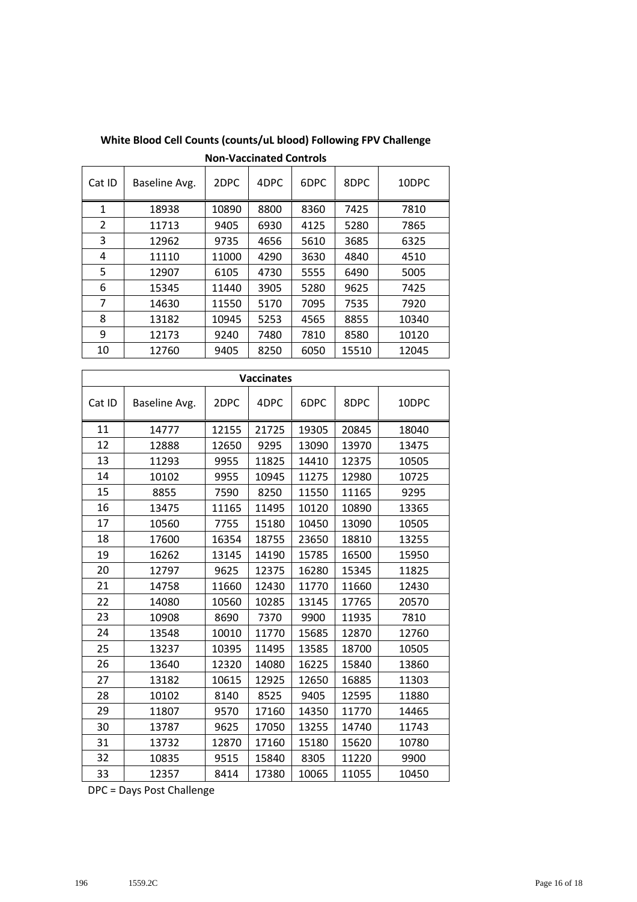| Cat ID       | Baseline Avg. | 2DPC  | 4DPC | 6DPC | 8DPC  | 10DPC |
|--------------|---------------|-------|------|------|-------|-------|
| $\mathbf{1}$ | 18938         | 10890 | 8800 | 8360 | 7425  | 7810  |
| 2            | 11713         | 9405  | 6930 | 4125 | 5280  | 7865  |
| 3            | 12962         | 9735  | 4656 | 5610 | 3685  | 6325  |
| 4            | 11110         | 11000 | 4290 | 3630 | 4840  | 4510  |
| 5            | 12907         | 6105  | 4730 | 5555 | 6490  | 5005  |
| 6            | 15345         | 11440 | 3905 | 5280 | 9625  | 7425  |
| 7            | 14630         | 11550 | 5170 | 7095 | 7535  | 7920  |
| 8            | 13182         | 10945 | 5253 | 4565 | 8855  | 10340 |
| 9            | 12173         | 9240  | 7480 | 7810 | 8580  | 10120 |
| 10           | 12760         | 9405  | 8250 | 6050 | 15510 | 12045 |

**White Blood Cell Counts (counts/uL blood) Following FPV Challenge Non-Vaccinated Controls**

|        |               |       | <b>Vaccinates</b> |       |       |       |
|--------|---------------|-------|-------------------|-------|-------|-------|
| Cat ID | Baseline Avg. | 2DPC  | 4DPC              | 6DPC  | 8DPC  | 10DPC |
| 11     | 14777         | 12155 | 21725             | 19305 | 20845 | 18040 |
| 12     | 12888         | 12650 | 9295              | 13090 | 13970 | 13475 |
| 13     | 11293         | 9955  | 11825             | 14410 | 12375 | 10505 |
| 14     | 10102         | 9955  | 10945             | 11275 | 12980 | 10725 |
| 15     | 8855          | 7590  | 8250              | 11550 | 11165 | 9295  |
| 16     | 13475         | 11165 | 11495             | 10120 | 10890 | 13365 |
| 17     | 10560         | 7755  | 15180             | 10450 | 13090 | 10505 |
| 18     | 17600         | 16354 | 18755             | 23650 | 18810 | 13255 |
| 19     | 16262         | 13145 | 14190             | 15785 | 16500 | 15950 |
| 20     | 12797         | 9625  | 12375             | 16280 | 15345 | 11825 |
| 21     | 14758         | 11660 | 12430             | 11770 | 11660 | 12430 |
| 22     | 14080         | 10560 | 10285             | 13145 | 17765 | 20570 |
| 23     | 10908         | 8690  | 7370              | 9900  | 11935 | 7810  |
| 24     | 13548         | 10010 | 11770             | 15685 | 12870 | 12760 |
| 25     | 13237         | 10395 | 11495             | 13585 | 18700 | 10505 |
| 26     | 13640         | 12320 | 14080             | 16225 | 15840 | 13860 |
| 27     | 13182         | 10615 | 12925             | 12650 | 16885 | 11303 |
| 28     | 10102         | 8140  | 8525              | 9405  | 12595 | 11880 |
| 29     | 11807         | 9570  | 17160             | 14350 | 11770 | 14465 |
| 30     | 13787         | 9625  | 17050             | 13255 | 14740 | 11743 |
| 31     | 13732         | 12870 | 17160             | 15180 | 15620 | 10780 |
| 32     | 10835         | 9515  | 15840             | 8305  | 11220 | 9900  |
| 33     | 12357         | 8414  | 17380             | 10065 | 11055 | 10450 |

DPC = Days Post Challenge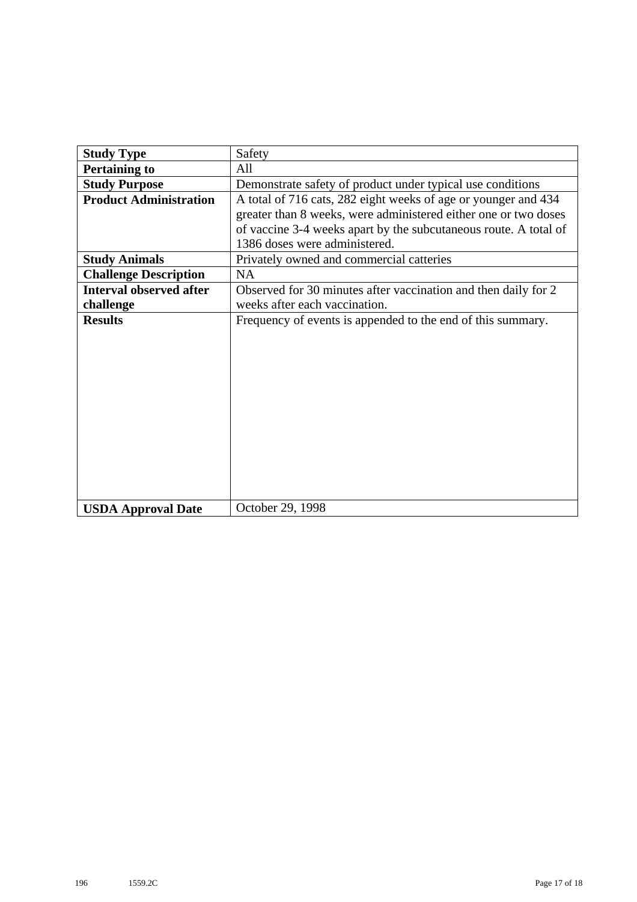| <b>Study Type</b>              | Safety                                                           |
|--------------------------------|------------------------------------------------------------------|
| <b>Pertaining to</b>           | All                                                              |
| <b>Study Purpose</b>           | Demonstrate safety of product under typical use conditions       |
| <b>Product Administration</b>  | A total of 716 cats, 282 eight weeks of age or younger and 434   |
|                                | greater than 8 weeks, were administered either one or two doses  |
|                                | of vaccine 3-4 weeks apart by the subcutaneous route. A total of |
|                                | 1386 doses were administered.                                    |
| <b>Study Animals</b>           | Privately owned and commercial catteries                         |
| <b>Challenge Description</b>   | NA                                                               |
| <b>Interval observed after</b> | Observed for 30 minutes after vaccination and then daily for 2   |
| challenge                      | weeks after each vaccination.                                    |
| <b>Results</b>                 | Frequency of events is appended to the end of this summary.      |
|                                |                                                                  |
|                                |                                                                  |
|                                |                                                                  |
|                                |                                                                  |
|                                |                                                                  |
|                                |                                                                  |
|                                |                                                                  |
|                                |                                                                  |
|                                |                                                                  |
|                                |                                                                  |
|                                |                                                                  |
|                                |                                                                  |
| <b>USDA Approval Date</b>      | October 29, 1998                                                 |